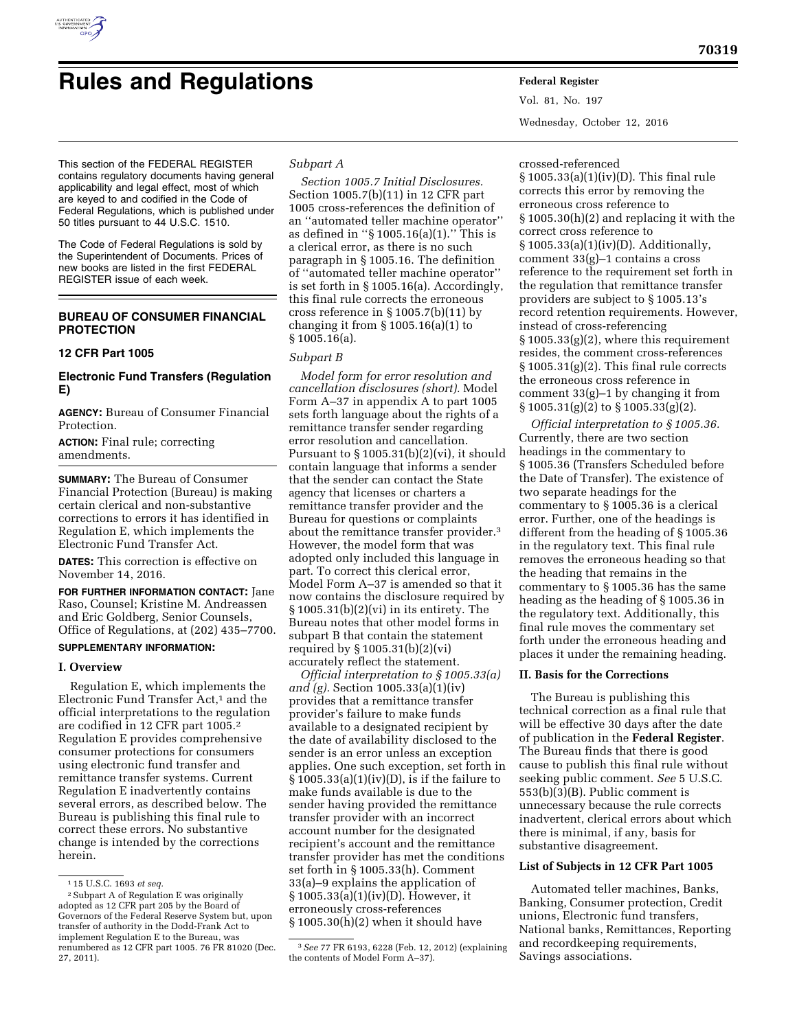

# **Rules and Regulations Federal Register**

Vol. 81, No. 197 Wednesday, October 12, 2016

This section of the FEDERAL REGISTER contains regulatory documents having general applicability and legal effect, most of which are keyed to and codified in the Code of Federal Regulations, which is published under 50 titles pursuant to 44 U.S.C. 1510.

The Code of Federal Regulations is sold by the Superintendent of Documents. Prices of new books are listed in the first FEDERAL REGISTER issue of each week.

# **BUREAU OF CONSUMER FINANCIAL PROTECTION**

## **12 CFR Part 1005**

# **Electronic Fund Transfers (Regulation E)**

**AGENCY:** Bureau of Consumer Financial Protection.

**ACTION:** Final rule; correcting amendments.

**SUMMARY:** The Bureau of Consumer Financial Protection (Bureau) is making certain clerical and non-substantive corrections to errors it has identified in Regulation E, which implements the Electronic Fund Transfer Act.

**DATES:** This correction is effective on November 14, 2016.

**FOR FURTHER INFORMATION CONTACT:** Jane Raso, Counsel; Kristine M. Andreassen and Eric Goldberg, Senior Counsels, Office of Regulations, at (202) 435–7700.

## **SUPPLEMENTARY INFORMATION:**

## **I. Overview**

Regulation E, which implements the Electronic Fund Transfer Act,<sup>1</sup> and the official interpretations to the regulation are codified in 12 CFR part 1005.2 Regulation E provides comprehensive consumer protections for consumers using electronic fund transfer and remittance transfer systems. Current Regulation E inadvertently contains several errors, as described below. The Bureau is publishing this final rule to correct these errors. No substantive change is intended by the corrections herein.

# *Subpart A*

*Section 1005.7 Initial Disclosures.*  Section 1005.7(b)(11) in 12 CFR part 1005 cross-references the definition of an ''automated teller machine operator'' as defined in ''§ 1005.16(a)(1).'' This is a clerical error, as there is no such paragraph in § 1005.16. The definition of ''automated teller machine operator'' is set forth in § 1005.16(a). Accordingly, this final rule corrects the erroneous cross reference in § 1005.7(b)(11) by changing it from  $\S 1005.16(a)(1)$  to § 1005.16(a).

### *Subpart B*

*Model form for error resolution and cancellation disclosures (short).* Model Form A–37 in appendix A to part 1005 sets forth language about the rights of a remittance transfer sender regarding error resolution and cancellation. Pursuant to  $\S 1005.31(b)(2)(vi)$ , it should contain language that informs a sender that the sender can contact the State agency that licenses or charters a remittance transfer provider and the Bureau for questions or complaints about the remittance transfer provider.3 However, the model form that was adopted only included this language in part. To correct this clerical error, Model Form A–37 is amended so that it now contains the disclosure required by § 1005.31(b)(2)(vi) in its entirety. The Bureau notes that other model forms in subpart B that contain the statement required by § 1005.31(b)(2)(vi) accurately reflect the statement.

*Official interpretation to § 1005.33(a) and (g).* Section 1005.33(a)(1)(iv) provides that a remittance transfer provider's failure to make funds available to a designated recipient by the date of availability disclosed to the sender is an error unless an exception applies. One such exception, set forth in  $\S$  1005.33(a)(1)(iv)(D), is if the failure to make funds available is due to the sender having provided the remittance transfer provider with an incorrect account number for the designated recipient's account and the remittance transfer provider has met the conditions set forth in § 1005.33(h). Comment 33(a)–9 explains the application of § 1005.33(a)(1)(iv)(D). However, it erroneously cross-references § 1005.30(h)(2) when it should have

#### crossed-referenced

§ 1005.33(a)(1)(iv)(D). This final rule corrects this error by removing the erroneous cross reference to § 1005.30(h)(2) and replacing it with the correct cross reference to § 1005.33(a)(1)(iv)(D). Additionally, comment 33(g)–1 contains a cross reference to the requirement set forth in the regulation that remittance transfer providers are subject to § 1005.13's record retention requirements. However, instead of cross-referencing § 1005.33(g)(2), where this requirement resides, the comment cross-references § 1005.31(g)(2). This final rule corrects the erroneous cross reference in comment 33(g)–1 by changing it from § 1005.31(g)(2) to § 1005.33(g)(2).

*Official interpretation to § 1005.36.*  Currently, there are two section headings in the commentary to § 1005.36 (Transfers Scheduled before the Date of Transfer). The existence of two separate headings for the commentary to § 1005.36 is a clerical error. Further, one of the headings is different from the heading of § 1005.36 in the regulatory text. This final rule removes the erroneous heading so that the heading that remains in the commentary to § 1005.36 has the same heading as the heading of § 1005.36 in the regulatory text. Additionally, this final rule moves the commentary set forth under the erroneous heading and places it under the remaining heading.

#### **II. Basis for the Corrections**

The Bureau is publishing this technical correction as a final rule that will be effective 30 days after the date of publication in the **Federal Register**. The Bureau finds that there is good cause to publish this final rule without seeking public comment. *See* 5 U.S.C. 553(b)(3)(B). Public comment is unnecessary because the rule corrects inadvertent, clerical errors about which there is minimal, if any, basis for substantive disagreement.

#### **List of Subjects in 12 CFR Part 1005**

Automated teller machines, Banks, Banking, Consumer protection, Credit unions, Electronic fund transfers, National banks, Remittances, Reporting and recordkeeping requirements, Savings associations.

<sup>1</sup> 15 U.S.C. 1693 *et seq.* 

<sup>2</sup>Subpart A of Regulation E was originally adopted as 12 CFR part 205 by the Board of Governors of the Federal Reserve System but, upon transfer of authority in the Dodd-Frank Act to implement Regulation E to the Bureau, was renumbered as 12 CFR part 1005. 76 FR 81020 (Dec. 27, 2011).

<sup>3</sup>*See* 77 FR 6193, 6228 (Feb. 12, 2012) (explaining the contents of Model Form A–37).